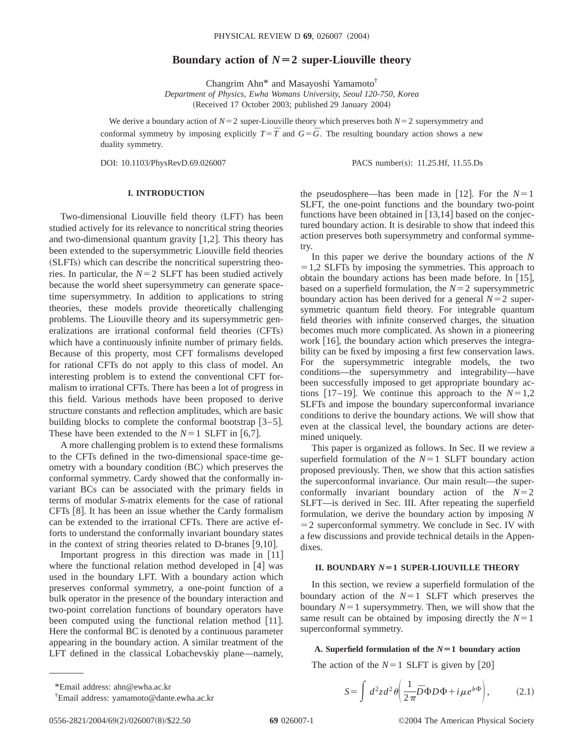# **Boundary action of**  $N=2$  super-Liouville theory

Changrim Ahn\* and Masayoshi Yamamoto† *Department of Physics, Ewha Womans University, Seoul 120-750, Korea* (Received 17 October 2003; published 29 January 2004)

We derive a boundary action of  $N=2$  super-Liouville theory which preserves both  $N=2$  supersymmetry and conformal symmetry by imposing explicitly  $T=\overline{T}$  and  $G=\overline{G}$ . The resulting boundary action shows a new duality symmetry.

DOI: 10.1103/PhysRevD.69.026007 PACS number(s): 11.25.Hf, 11.55.Ds

## **I. INTRODUCTION**

Two-dimensional Liouville field theory (LFT) has been studied actively for its relevance to noncritical string theories and two-dimensional quantum gravity  $[1,2]$ . This theory has been extended to the supersymmetric Liouville field theories (SLFTs) which can describe the noncritical superstring theories. In particular, the  $N=2$  SLFT has been studied actively because the world sheet supersymmetry can generate spacetime supersymmetry. In addition to applications to string theories, these models provide theoretically challenging problems. The Liouville theory and its supersymmetric generalizations are irrational conformal field theories (CFTs) which have a continuously infinite number of primary fields. Because of this property, most CFT formalisms developed for rational CFTs do not apply to this class of model. An interesting problem is to extend the conventional CFT formalism to irrational CFTs. There has been a lot of progress in this field. Various methods have been proposed to derive structure constants and reflection amplitudes, which are basic building blocks to complete the conformal bootstrap  $\lceil 3-5 \rceil$ . These have been extended to the  $N=1$  SLFT in [6,7].

A more challenging problem is to extend these formalisms to the CFTs defined in the two-dimensional space-time geometry with a boundary condition (BC) which preserves the conformal symmetry. Cardy showed that the conformally invariant BCs can be associated with the primary fields in terms of modular *S*-matrix elements for the case of rational CFTs [8]. It has been an issue whether the Cardy formalism can be extended to the irrational CFTs. There are active efforts to understand the conformally invariant boundary states in the context of string theories related to D-branes  $[9,10]$ .

Important progress in this direction was made in  $[11]$ where the functional relation method developed in  $[4]$  was used in the boundary LFT. With a boundary action which preserves conformal symmetry, a one-point function of a bulk operator in the presence of the boundary interaction and two-point correlation functions of boundary operators have been computed using the functional relation method  $[11]$ . Here the conformal BC is denoted by a continuous parameter appearing in the boundary action. A similar treatment of the LFT defined in the classical Lobachevskiy plane—namely,

the pseudosphere—has been made in [12]. For the  $N=1$ SLFT, the one-point functions and the boundary two-point functions have been obtained in  $[13,14]$  based on the conjectured boundary action. It is desirable to show that indeed this action preserves both supersymmetry and conformal symmetry.

In this paper we derive the boundary actions of the *N*  $=1,2$  SLFTs by imposing the symmetries. This approach to obtain the boundary actions has been made before. In  $[15]$ , based on a superfield formulation, the  $N=2$  supersymmetric boundary action has been derived for a general  $N=2$  supersymmetric quantum field theory. For integrable quantum field theories with infinite conserved charges, the situation becomes much more complicated. As shown in a pioneering work  $[16]$ , the boundary action which preserves the integrability can be fixed by imposing a first few conservation laws. For the supersymmetric integrable models, the two conditions—the supersymmetry and integrability—have been successfully imposed to get appropriate boundary actions [17–19]. We continue this approach to the  $N=1,2$ SLFTs and impose the boundary superconformal invariance conditions to derive the boundary actions. We will show that even at the classical level, the boundary actions are determined uniquely.

This paper is organized as follows. In Sec. II we review a superfield formulation of the  $N=1$  SLFT boundary action proposed previously. Then, we show that this action satisfies the superconformal invariance. Our main result—the superconformally invariant boundary action of the  $N=2$ SLFT—is derived in Sec. III. After repeating the superfield formulation, we derive the boundary action by imposing *N*  $=$  2 superconformal symmetry. We conclude in Sec. IV with a few discussions and provide technical details in the Appendixes.

## **II. BOUNDARY** *N***Ä1 SUPER-LIOUVILLE THEORY**

In this section, we review a superfield formulation of the boundary action of the  $N=1$  SLFT which preserves the boundary  $N=1$  supersymmetry. Then, we will show that the same result can be obtained by imposing directly the  $N=1$ superconformal symmetry.

#### A. Superfield formulation of the  $N=1$  boundary action

The action of the  $N=1$  SLFT is given by [20]

<sup>†</sup> Email address: yamamoto@dante.ewha.ac.kr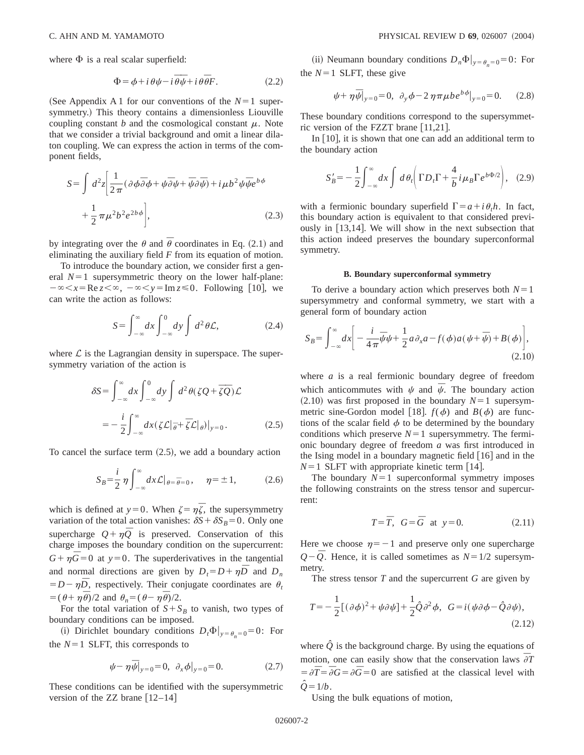where  $\Phi$  is a real scalar superfield:

$$
\Phi = \phi + i \theta \psi - i \overline{\theta} \overline{\psi} + i \theta \overline{\theta} F. \tag{2.2}
$$

(See Appendix A 1 for our conventions of the  $N=1$  supersymmetry.) This theory contains a dimensionless Liouville coupling constant *b* and the cosmological constant  $\mu$ . Note that we consider a trivial background and omit a linear dilaton coupling. We can express the action in terms of the component fields,

$$
S = \int d^2 z \left[ \frac{1}{2\pi} (\partial \phi \overline{\partial} \phi + \psi \overline{\partial} \psi + \overline{\psi} \partial \overline{\psi}) + i \mu b^2 \psi \overline{\psi} e^{b\phi} + \frac{1}{2} \pi \mu^2 b^2 e^{2b\phi} \right],
$$
\n(2.3)

by integrating over the  $\theta$  and  $\bar{\theta}$  coordinates in Eq. (2.1) and eliminating the auxiliary field *F* from its equation of motion.

To introduce the boundary action, we consider first a general  $N=1$  supersymmetric theory on the lower half-plane:  $-\infty < x = \text{Re } z < \infty, \ -\infty < y = \text{Im } z \le 0.$  Following [10], we can write the action as follows:

$$
S = \int_{-\infty}^{\infty} dx \int_{-\infty}^{0} dy \int d^2 \theta \mathcal{L}, \qquad (2.4)
$$

where  $\mathcal L$  is the Lagrangian density in superspace. The supersymmetry variation of the action is

$$
\delta S = \int_{-\infty}^{\infty} dx \int_{-\infty}^{0} dy \int d^2 \theta (\zeta Q + \overline{\zeta} \overline{Q}) \mathcal{L}
$$
  
= 
$$
- \frac{i}{2} \int_{-\infty}^{\infty} dx (\zeta \mathcal{L} |_{\overline{\theta}} + \overline{\zeta} \mathcal{L} |_{\theta}) |_{y=0}.
$$
 (2.5)

To cancel the surface term  $(2.5)$ , we add a boundary action

$$
S_B = \frac{i}{2} \eta \int_{-\infty}^{\infty} dx \mathcal{L} \big|_{\theta = \overline{\theta} = 0}, \quad \eta = \pm 1, \quad (2.6)
$$

which is defined at  $y=0$ . When  $\zeta = \eta \overline{\zeta}$ , the supersymmetry variation of the total action vanishes:  $\delta S + \delta S_B = 0$ . Only one supercharge  $Q + \eta \overline{Q}$  is preserved. Conservation of this charge imposes the boundary condition on the supercurrent:  $G + \eta \bar{G} = 0$  at  $y = 0$ . The superderivatives in the tangential and normal directions are given by  $D_t = D + \eta \bar{D}$  and  $D_n$  $= D - \eta \bar{D}$ , respectively. Their conjugate coordinates are  $\theta_t$  $= (\theta + \eta \overline{\theta})/2$  and  $\theta_n = (\theta - \eta \overline{\theta})/2$ .

For the total variation of  $S + S_B$  to vanish, two types of boundary conditions can be imposed.

(i) Dirichlet boundary conditions  $D_t \Phi|_{v=\theta_0=0} = 0$ : For the  $N=1$  SLFT, this corresponds to

$$
\psi - \eta \bar{\psi}|_{y=0} = 0, \ \partial_x \phi|_{y=0} = 0. \tag{2.7}
$$

These conditions can be identified with the supersymmetric version of the ZZ brane  $[12-14]$ 

(ii) Neumann boundary conditions  $D_n\Phi|_{y=\theta_0=0}=0$ : For the  $N=1$  SLFT, these give

$$
\psi + \eta \bar{\psi}|_{y=0} = 0, \ \partial_y \phi - 2 \eta \pi \mu b e^{b\phi}|_{y=0} = 0. \tag{2.8}
$$

These boundary conditions correspond to the supersymmetric version of the FZZT brane  $[11,21]$ .

In  $[10]$ , it is shown that one can add an additional term to the boundary action

$$
S'_B = -\frac{1}{2} \int_{-\infty}^{\infty} dx \int d\theta_t \left( \Gamma D_t \Gamma + \frac{4}{b} i \mu_B \Gamma e^{b \Phi/2} \right), \quad (2.9)
$$

with a fermionic boundary superfield  $\Gamma = a + i \theta_t h$ . In fact, this boundary action is equivalent to that considered previously in  $[13,14]$ . We will show in the next subsection that this action indeed preserves the boundary superconformal symmetry.

#### **B. Boundary superconformal symmetry**

To derive a boundary action which preserves both  $N=1$ supersymmetry and conformal symmetry, we start with a general form of boundary action

$$
S_B = \int_{-\infty}^{\infty} dx \bigg[ -\frac{i}{4\pi} \overline{\psi} \psi + \frac{1}{2} a \partial_x a - f(\phi) a (\psi + \overline{\psi}) + B(\phi) \bigg],
$$
\n(2.10)

where *a* is a real fermionic boundary degree of freedom which anticommutes with  $\psi$  and  $\bar{\psi}$ . The boundary action  $(2.10)$  was first proposed in the boundary  $N=1$  supersymmetric sine-Gordon model [18].  $f(\phi)$  and  $B(\phi)$  are functions of the scalar field  $\phi$  to be determined by the boundary conditions which preserve  $N=1$  supersymmetry. The fermionic boundary degree of freedom *a* was first introduced in the Ising model in a boundary magnetic field  $[16]$  and in the  $N=1$  SLFT with appropriate kinetic term [14].

The boundary  $N=1$  superconformal symmetry imposes the following constraints on the stress tensor and supercurrent:

$$
T = \overline{T}, \quad G = \overline{G} \quad \text{at} \quad y = 0. \tag{2.11}
$$

Here we choose  $\eta = -1$  and preserve only one supercharge  $Q-\overline{Q}$ . Hence, it is called sometimes as  $N=1/2$  supersymmetry.

The stress tensor *T* and the supercurrent *G* are given by

$$
T = -\frac{1}{2} [(\partial \phi)^2 + \psi \partial \psi] + \frac{1}{2} \hat{Q} \partial^2 \phi, \quad G = i(\psi \partial \phi - \hat{Q} \partial \psi),
$$
\n(2.12)

where  $\hat{Q}$  is the background charge. By using the equations of motion, one can easily show that the conservation laws  $\overline{\partial}T$  $= \partial \overline{T} = \overline{\partial} G = \partial \overline{G} = 0$  are satisfied at the classical level with  $Q = 1/b$ .

Using the bulk equations of motion,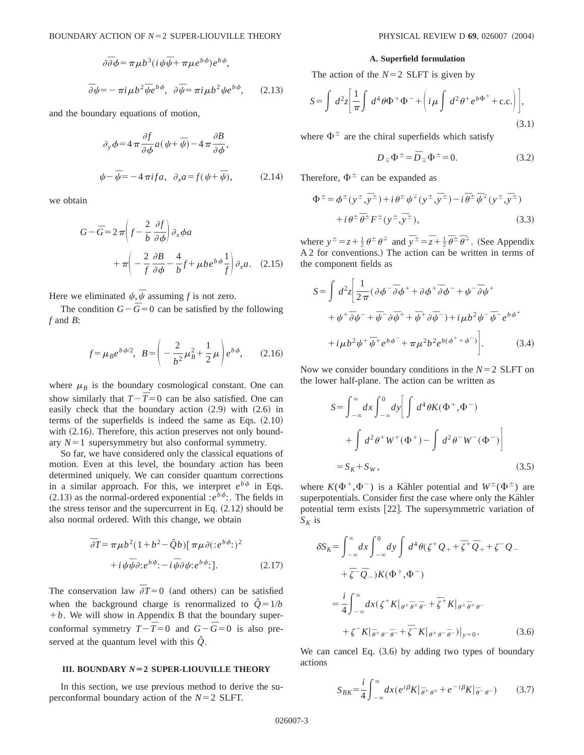$$
\partial \overline{\partial} \phi = \pi \mu b^3 (i \psi \overline{\psi} + \pi \mu e^{b \phi}) e^{b \phi},
$$
  

$$
\overline{\partial} \psi = -\pi i \mu b^2 \overline{\psi} e^{b \phi}, \quad \partial \overline{\psi} = \pi i \mu b^2 \psi e^{b \phi}, \qquad (2.13)
$$

and the boundary equations of motion,

$$
\partial_y \phi = 4 \pi \frac{\partial f}{\partial \phi} a(\psi + \bar{\psi}) - 4 \pi \frac{\partial B}{\partial \phi},
$$
  

$$
\psi - \bar{\psi} = -4 \pi i f a, \ \partial_x a = f(\psi + \bar{\psi}), \tag{2.14}
$$

we obtain

$$
G - \bar{G} = 2 \pi \left( f - \frac{2}{b} \frac{\partial f}{\partial \phi} \right) \partial_x \phi a
$$

$$
+ \pi \left( -\frac{2}{f} \frac{\partial B}{\partial \phi} - \frac{4}{b} f + \mu b e^{b \phi} \frac{1}{f} \right) \partial_x a. \quad (2.15)
$$

Here we eliminated  $\psi, \bar{\psi}$  assuming *f* is not zero.

The condition  $G-\bar{G}=0$  can be satisfied by the following *f* and *B*:

$$
f = \mu_B e^{b\phi/2}, \quad B = \left(-\frac{2}{b^2}\mu_B^2 + \frac{1}{2}\mu\right) e^{b\phi}, \quad (2.16)
$$

where  $\mu_B$  is the boundary cosmological constant. One can show similarly that  $T - \overline{T} = 0$  can be also satisfied. One can easily check that the boundary action  $(2.9)$  with  $(2.6)$  in terms of the superfields is indeed the same as Eqs.  $(2.10)$ with  $(2.16)$ . Therefore, this action preserves not only boundary  $N=1$  supersymmetry but also conformal symmetry.

So far, we have considered only the classical equations of motion. Even at this level, the boundary action has been determined uniquely. We can consider quantum corrections in a similar approach. For this, we interpret  $e^{b\phi}$  in Eqs.  $(2.13)$  as the normal-ordered exponential : $e^{\lambda \phi}$ :. The fields in the stress tensor and the supercurrent in Eq.  $(2.12)$  should be also normal ordered. With this change, we obtain

$$
\overline{\partial}T = \pi \mu b^2 (1 + b^2 - \hat{Q}b) [\pi \mu \partial (e^{b\phi})^2 + i \psi \overline{\psi} \partial e^{b\phi} - i \overline{\psi} \partial \psi e^{b\phi}]].
$$
\n(2.17)

The conservation law  $\overline{\partial}T = 0$  (and others) can be satisfied when the background charge is renormalized to  $\hat{Q} = 1/b$  $+ b$ . We will show in Appendix B that the boundary superconformal symmetry  $T - \overline{T} = 0$  and  $G - \overline{G} = 0$  is also preserved at the quantum level with this  $\hat{Q}$ .

#### **III. BOUNDARY** *N*=2 SUPER-LIOUVILLE THEORY

In this section, we use previous method to derive the superconformal boundary action of the  $N=2$  SLFT.

#### **A. Superfield formulation**

The action of the  $N=2$  SLFT is given by

$$
S = \int d^2 z \left[ \frac{1}{\pi} \int d^4 \theta \Phi^+ \Phi^- + \left( i \mu \int d^2 \theta^+ e^{b \Phi^+} + \text{c.c.} \right) \right],
$$
\n(3.1)

where  $\Phi^{\pm}$  are the chiral superfields which satisfy

$$
D_{\mp} \Phi^{\pm} = \bar{D}_{\mp} \Phi^{\pm} = 0.
$$
 (3.2)

Therefore,  $\Phi^{\pm}$  can be expanded as

$$
\Phi^{\pm} = \phi^{\pm}(y^{\pm}, \overline{y}^{\pm}) + i \theta^{\pm} \psi^{\mp}(y^{\pm}, \overline{y}^{\pm}) - i \overline{\theta}^{\pm} \overline{\psi}^{\mp}(y^{\pm}, \overline{y}^{\pm}) \n+ i \theta^{\pm} \overline{\theta}^{\pm} F^{\pm}(y^{\pm}, \overline{y}^{\pm}),
$$
\n(3.3)

where  $y^{\pm} = z + \frac{1}{2} \theta^{\pm} \theta^{\mp}$  and  $\overline{y}^{\pm} = \overline{z} + \frac{1}{2} \overline{\theta}^{\pm} \overline{\theta}^{\mp}$ . (See Appendix A 2 for conventions.) The action can be written in terms of the component fields as

$$
S = \int d^2 z \left[ \frac{1}{2\pi} (\partial \phi^- \overline{\partial} \phi^+ + \partial \phi^+ \overline{\partial} \phi^- + \psi^- \overline{\partial} \psi^+ + \psi^+ \overline{\partial} \psi^- + \overline{\psi}^- \partial \overline{\psi}^+ + \overline{\psi}^- \partial \overline{\psi}^+ + \overline{\psi}^+ \partial \overline{\psi}^-) + i \mu b^2 \psi^- \overline{\psi}^- e^{b \phi^+} + i \mu b^2 \psi^+ \overline{\psi}^+ e^{b \phi^-} + \pi \mu^2 b^2 e^{b (\phi^+ + \phi^-)} \right].
$$
 (3.4)

Now we consider boundary conditions in the  $N=2$  SLFT on the lower half-plane. The action can be written as

$$
S = \int_{-\infty}^{\infty} dx \int_{-\infty}^{0} dy \left[ \int d^4 \theta K(\Phi^+, \Phi^-) \right]
$$
  
+ 
$$
\int d^2 \theta^+ W^+(\Phi^+) - \int d^2 \theta^- W^-(\Phi^-) \right]
$$
  
= 
$$
S_K + S_W, \qquad (3.5)
$$

where  $K(\Phi^+, \Phi^-)$  is a Kähler potential and  $W^{\pm}(\Phi^{\pm})$  are superpotentials. Consider first the case where only the Kähler potential term exists [22]. The supersymmetric variation of  $S_K$  is

$$
\delta S_K = \int_{-\infty}^{\infty} dx \int_{-\infty}^{0} dy \int d^4 \theta (\zeta^+ Q_+ + \overline{\zeta}^+ \overline{Q}_+ + \zeta^- Q_- \n+ \overline{\zeta}^- \overline{Q}_-) K (\Phi^+, \Phi^-) \n= \frac{i}{4} \int_{-\infty}^{\infty} dx (\zeta^+ K|_{\theta^+ \overline{\theta}^+ \overline{\theta}^-} + \overline{\zeta}^+ K|_{\theta^+ \overline{\theta}^+ \theta^-} \n+ \zeta^- K|_{\overline{\theta}^+ \theta^- \overline{\theta}^-} + \overline{\zeta}^- K|_{\theta^+ \theta^- \overline{\theta}^-})|_{y=0}.
$$
\n(3.6)

We can cancel Eq.  $(3.6)$  by adding two types of boundary actions

$$
S_{BK} = \frac{i}{4} \int_{-\infty}^{\infty} dx \left( e^{i\beta} K \middle| \, \overline{\theta} + \theta^+ + e^{-i\beta} K \middle| \, \overline{\theta} - \theta^- \right) \tag{3.7}
$$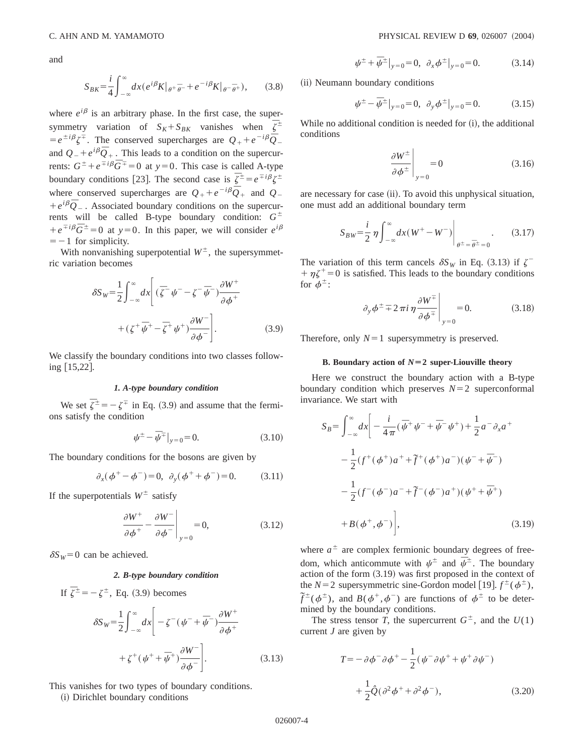and

$$
S_{BK} = \frac{i}{4} \int_{-\infty}^{\infty} dx \left( e^{i\beta} K \middle|_{\theta^+ \overline{\theta}^-} + e^{-i\beta} K \middle|_{\theta^- \overline{\theta}^+} \right), \tag{3.8}
$$

where  $e^{i\beta}$  is an arbitrary phase. In the first case, the supersymmetry variation of  $S_K + S_{BK}$  vanishes when  $\overline{\zeta}^{\pm}$  $= e^{\pm i\beta} \zeta^{\mp}$ . The conserved supercharges are  $Q_{+} + e^{-i\beta} \overline{Q}_{-}$ and  $Q_{-}+e^{i\beta}\overline{Q}_{+}$ . This leads to a condition on the supercurrents:  $G^{\pm} + e^{\mp i\beta} \overline{G}^{\mp} = 0$  at  $y = 0$ . This case is called A-type boundary conditions [23]. The second case is  $\overline{\zeta}^{\pm} = e^{\mp i\beta} \zeta^{\pm}$ where conserved supercharges are  $Q_{+}+e^{-i\beta}\overline{Q}_{+}$  and  $Q_{-}$  $+e^{i\beta}\overline{O}_-$ . Associated boundary conditions on the supercurrents will be called B-type boundary condition:  $G^{\pm}$  $+ e^{\mp i\beta} \bar{G}^{\pm} = 0$  at  $y = 0$ . In this paper, we will consider  $e^{i\beta}$  $=$  -1 for simplicity.

With nonvanishing superpotential  $W^{\pm}$ , the supersymmetric variation becomes

$$
\delta S_W = \frac{1}{2} \int_{-\infty}^{\infty} dx \left[ \left( \overline{\zeta} - \psi^- - \zeta^- \overline{\psi}^- \right) \frac{\partial W^+}{\partial \phi^+} + \left( \zeta^+ \overline{\psi}^+ - \overline{\zeta}^+ \psi^+ \right) \frac{\partial W^-}{\partial \phi^-} \right].
$$
\n(3.9)

We classify the boundary conditions into two classes following  $[15,22]$ .

#### *1. A-type boundary condition*

We set  $\overline{\zeta}^{\pm} = -\zeta^{\mp}$  in Eq. (3.9) and assume that the fermions satisfy the condition

$$
\psi^{\pm} - \bar{\psi}^{\mp} \big|_{y=0} = 0. \tag{3.10}
$$

The boundary conditions for the bosons are given by

$$
\partial_x(\phi^+ - \phi^-) = 0, \ \partial_y(\phi^+ + \phi^-) = 0.
$$
 (3.11)

If the superpotentials  $W^{\pm}$  satisfy

$$
\left. \frac{\partial W^+}{\partial \phi^+} - \frac{\partial W^-}{\partial \phi^-} \right|_{y=0} = 0, \tag{3.12}
$$

 $\delta S_W = 0$  can be achieved.

### *2. B-type boundary condition*

If  $\overline{\zeta}^{\pm} = -\zeta^{\pm}$ , Eq. (3.9) becomes

$$
\delta S_W = \frac{1}{2} \int_{-\infty}^{\infty} dx \left[ -\zeta^{-} (\psi^{-} + \overline{\psi}^{-}) \frac{\partial W^{+}}{\partial \phi^{+}} + \zeta^{+} (\psi^{+} + \overline{\psi}^{+}) \frac{\partial W^{-}}{\partial \phi^{-}} \right].
$$
\n(3.13)

This vanishes for two types of boundary conditions.

(i) Dirichlet boundary conditions

$$
\psi^{\pm} + \overline{\psi}^{\pm} |_{y=0} = 0, \partial_x \phi^{\pm} |_{y=0} = 0.
$$
 (3.14)

(ii) Neumann boundary conditions

$$
\psi^{\pm} - \overline{\psi}^{\pm} \big|_{y=0} = 0, \ \partial_y \phi^{\pm} \big|_{y=0} = 0. \tag{3.15}
$$

While no additional condition is needed for  $(i)$ , the additional conditions

$$
\left. \frac{\partial W^{\pm}}{\partial \phi^{\pm}} \right|_{y=0} = 0 \tag{3.16}
$$

are necessary for case (ii). To avoid this unphysical situation, one must add an additional boundary term

$$
S_{BW} = \frac{i}{2} \eta \int_{-\infty}^{\infty} dx (W^{+} - W^{-}) \Big|_{\theta^{\pm} = \bar{\theta}^{\pm} = 0}.
$$
 (3.17)

The variation of this term cancels  $\delta S_W$  in Eq. (3.13) if  $\zeta^ +\eta \zeta^+=0$  is satisfied. This leads to the boundary conditions for  $\phi^{\pm}$ :

$$
\partial_y \phi^{\pm} \mp 2 \pi i \eta \frac{\partial W^{\mp}}{\partial \phi^{\mp}} \bigg|_{y=0} = 0. \tag{3.18}
$$

Therefore, only  $N=1$  supersymmetry is preserved.

### **B. Boundary action of**  $N=2$  super-Liouville theory

Here we construct the boundary action with a B-type boundary condition which preserves  $N=2$  superconformal invariance. We start with

$$
S_B = \int_{-\infty}^{\infty} dx \bigg[ -\frac{i}{4\pi} (\bar{\psi}^+ \psi^- + \bar{\psi}^- \psi^+) + \frac{1}{2} a^- \partial_x a^+
$$
  

$$
- \frac{1}{2} (f^+ (\phi^+) a^+ + \tilde{f}^+ (\phi^+) a^-) (\psi^- + \bar{\psi}^-)
$$
  

$$
- \frac{1}{2} (f^- (\phi^-) a^- + \tilde{f}^- (\phi^-) a^+) (\psi^+ + \bar{\psi}^+)
$$
  

$$
+ B (\phi^+, \phi^-) \bigg],
$$
 (3.19)

where  $a^{\pm}$  are complex fermionic boundary degrees of freedom, which anticommute with  $\psi^{\pm}$  and  $\overline{\psi}^{\pm}$ . The boundary action of the form  $(3.19)$  was first proposed in the context of the *N*=2 supersymmetric sine-Gordon model [19].  $f^{\pm}(\phi^{\pm})$ ,  $\tilde{f}^{\pm}(\phi^{\pm})$ , and  $B(\phi^{\pm}, \phi^{-})$  are functions of  $\phi^{\pm}$  to be determined by the boundary conditions.

The stress tensor *T*, the supercurrent  $G^{\pm}$ , and the  $U(1)$ current *J* are given by

$$
T = -\partial \phi^- \partial \phi^+ - \frac{1}{2} (\psi^- \partial \psi^+ + \psi^+ \partial \psi^-)
$$
  
+ 
$$
\frac{1}{2} \hat{Q} (\partial^2 \phi^+ + \partial^2 \phi^-),
$$
 (3.20)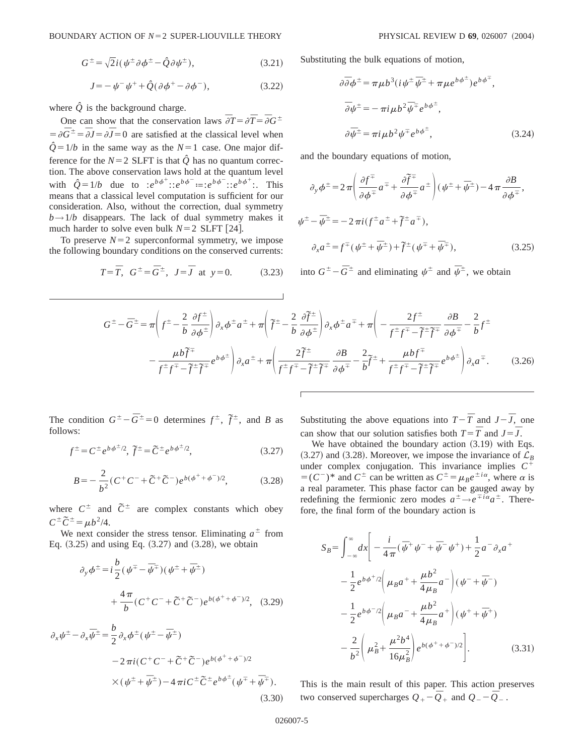$$
J = -\psi^{-}\psi^{+} + \hat{Q}(\partial\phi^{+} - \partial\phi^{-}), \qquad (3.22)
$$

where  $\hat{Q}$  is the background charge.

One can show that the conservation laws  $\overline{\partial}T = \partial \overline{T} = \overline{\partial}G^{\pm}$  $= \partial \overline{G}^{\pm} = \overline{\partial} J = \partial \overline{J} = 0$  are satisfied at the classical level when  $\hat{Q} = 1/b$  in the same way as the  $N=1$  case. One major difference for the  $N=2$  SLFT is that  $\hat{Q}$  has no quantum correction. The above conservation laws hold at the quantum level with  $\hat{Q} = 1/b$  due to  $:e^{b\phi^+} : :e^{b\phi^-} : : :e^{b\phi^-} : : :e^{b\phi^+} :$ . This means that a classical level computation is sufficient for our consideration. Also, without the correction, dual symmetry  $b \rightarrow 1/b$  disappears. The lack of dual symmetry makes it much harder to solve even bulk  $N=2$  SLFT [24].

To preserve  $N=2$  superconformal symmetry, we impose the following boundary conditions on the conserved currents:

$$
T = \overline{T}
$$
,  $G^{\pm} = \overline{G}^{\pm}$ ,  $J = \overline{J}$  at  $y = 0$ . (3.23)

Substituting the bulk equations of motion,

$$
\partial \overline{\partial} \phi^{\pm} = \pi \mu b^{3} (i \psi^{\pm} \overline{\psi}^{\pm} + \pi \mu e^{b \phi^{\pm}}) e^{b \phi^{\mp}},
$$
  
\n
$$
\overline{\partial} \psi^{\pm} = - \pi i \mu b^{2} \overline{\psi}^{\mp} e^{b \phi^{\pm}},
$$
  
\n
$$
\partial \overline{\psi}^{\pm} = \pi i \mu b^{2} \psi^{\mp} e^{b \phi^{\pm}},
$$
\n(3.24)

and the boundary equations of motion,

$$
\partial_y \phi^{\pm} = 2 \pi \left( \frac{\partial f^{\mp}}{\partial \phi^{\mp}} a^{\mp} + \frac{\partial \widetilde{f}^{\mp}}{\partial \phi^{\mp}} a^{\pm} \right) (\psi^{\pm} + \overline{\psi}^{\pm}) - 4 \pi \frac{\partial B}{\partial \phi^{\mp}},
$$
  

$$
\psi^{\pm} - \overline{\psi}^{\pm} = -2 \pi i (f^{\pm} a^{\pm} + \widetilde{f}^{\pm} a^{\mp}),
$$
  

$$
\partial_x a^{\pm} = f^{\mp} (\psi^{\pm} + \overline{\psi}^{\pm}) + \widetilde{f}^{\pm} (\psi^{\mp} + \overline{\psi}^{\mp}),
$$
 (3.25)

into  $G^{\pm}$  –  $\overline{G}^{\pm}$  and eliminating  $\psi^{\pm}$  and  $\overline{\psi}^{\pm}$ , we obtain

$$
G^{\pm} - \overline{G}^{\pm} = \pi \left( f^{\pm} - \frac{2}{b} \frac{\partial f^{\pm}}{\partial \phi^{\pm}} \right) \partial_x \phi^{\pm} a^{\pm} + \pi \left( \widetilde{f}^{\pm} - \frac{2}{b} \frac{\partial \widetilde{f}^{\pm}}{\partial \phi^{\pm}} \right) \partial_x \phi^{\pm} a^{\mp} + \pi \left( - \frac{2f^{\pm}}{f^{\pm} f^{\mp} - \widetilde{f}^{\pm} \widetilde{f}^{\mp}} \frac{\partial B}{\partial \phi^{\mp}} - \frac{2}{b} f^{\pm} \right) \partial_y \phi^{\pm} a^{\mp} + \pi \left( \frac{2\widetilde{f}^{\pm}}{f^{\pm} f^{\mp} - \widetilde{f}^{\pm} \widetilde{f}^{\mp}} \frac{\partial B}{\partial \phi^{\mp}} - \frac{2}{b} f^{\pm} \right) \phi_x a^{\mp} + \pi \left( \frac{2\widetilde{f}^{\pm}}{f^{\pm} f^{\mp} - \widetilde{f}^{\pm} \widetilde{f}^{\mp}} \frac{\partial B}{\partial \phi^{\mp}} - \frac{2}{b} \widetilde{f}^{\pm} + \frac{\mu b f^{\mp}}{f^{\pm} f^{\mp} - \widetilde{f}^{\pm} \widetilde{f}^{\mp}} e^{b \phi^{\pm}} \right) \partial_x a^{\mp}.
$$
 (3.26)

The condition  $G^{\pm} - \overline{G}^{\pm} = 0$  determines  $f^{\pm}$ ,  $\tilde{f}^{\pm}$ , and *B* as follows:

$$
f^{\pm} = C^{\pm} e^{b \phi^{\pm}/2}, \, \tilde{f}^{\pm} = \tilde{C}^{\pm} e^{b \phi^{\pm}/2}, \tag{3.27}
$$

$$
B = -\frac{2}{b^2} (C^+ C^- + \tilde{C}^+ \tilde{C}^-) e^{b(\phi^+ + \phi^-)/2}, \tag{3.28}
$$

where  $C^{\pm}$  and  $\tilde{C}^{\pm}$  are complex constants which obey  $C^{\pm} \tilde{C}^{\pm} = \mu b^2 / 4.$ 

We next consider the stress tensor. Eliminating  $a^{\pm}$  from Eq.  $(3.25)$  and using Eq.  $(3.27)$  and  $(3.28)$ , we obtain

$$
\partial_y \phi^{\pm} = i \frac{b}{2} (\psi^{\mp} - \bar{\psi}^{\mp}) (\psi^{\pm} + \bar{\psi}^{\pm})
$$
  
+ 
$$
\frac{4 \pi}{b} (C^{\pm} C^- + \tilde{C}^{\pm} \tilde{C}^-) e^{b (\phi^{\pm} + \phi^-)/2}, \quad (3.29)
$$

$$
\partial_x \psi^{\pm} - \partial_x \overline{\psi}^{\pm} = \frac{b}{2} \partial_x \phi^{\pm} (\psi^{\pm} - \overline{\psi}^{\pm})
$$
  

$$
-2 \pi i (C^{\pm} C^- + \widetilde{C}^{\pm} \widetilde{C}^-) e^{b(\phi^{\pm} + \phi^-)/2}
$$
  

$$
\times (\psi^{\pm} + \overline{\psi}^{\pm}) - 4 \pi i C^{\pm} \widetilde{C}^{\pm} e^{b \phi^{\pm}} (\psi^{\mp} + \overline{\psi}^{\mp}).
$$
  
(3.30)

Substituting the above equations into  $T - \overline{T}$  and  $J - \overline{J}$ , one can show that our solution satisfies both  $T = \overline{T}$  and  $J = \overline{J}$ .

We have obtained the boundary action  $(3.19)$  with Eqs.  $(3.27)$  and  $(3.28)$ . Moreover, we impose the invariance of  $\mathcal{L}_B$ under complex conjugation. This invariance implies  $C^+$  $=$   $(C^-)^*$  and  $C^{\pm}$  can be written as  $C^{\pm} = \mu_B e^{\pm i\alpha}$ , where  $\alpha$  is a real parameter. This phase factor can be gauged away by redefining the fermionic zero modes  $a^{\pm} \rightarrow e^{\mp i \alpha} a^{\pm}$ . Therefore, the final form of the boundary action is

$$
S_B = \int_{-\infty}^{\infty} dx \left[ -\frac{i}{4\pi} (\bar{\psi}^+ \psi^- + \bar{\psi}^- \psi^+) + \frac{1}{2} a^- \partial_x a^+ \right. \left. - \frac{1}{2} e^{b \phi^+ / 2} \left( \mu_B a^+ + \frac{\mu b^2}{4 \mu_B} a^- \right) (\psi^- + \bar{\psi}^-) \right. \left. - \frac{1}{2} e^{b \phi^- / 2} \left( \mu_B a^- + \frac{\mu b^2}{4 \mu_B} a^+ \right) (\psi^+ + \bar{\psi}^+) \right. \left. - \frac{2}{b^2} \left( \mu_B^2 + \frac{\mu^2 b^4}{16 \mu_B^2} \right) e^{b (\phi^+ + \phi^-) / 2} \right]. \tag{3.31}
$$

This is the main result of this paper. This action preserves two conserved supercharges  $Q_{+}$  –  $\overline{Q}_{+}$  and  $Q_{-}$  –  $\overline{Q}_{-}$ .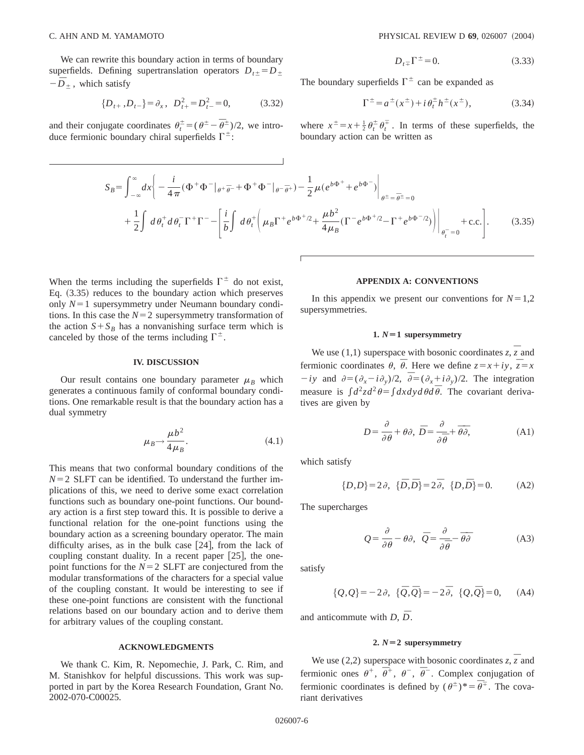We can rewrite this boundary action in terms of boundary superfields. Defining supertranslation operators  $D_{t\pm} = D_{\pm}$  $-\bar{D}_{\pm}$ , which satisfy

$$
\{D_{t+}, D_{t-}\} = \partial_x, \ D_{t+}^2 = D_{t-}^2 = 0,
$$
 (3.32)

and their conjugate coordinates  $\theta_t^{\pm} = (\theta^{\pm} - \overline{\theta}^{\pm})/2$ , we introduce fermionic boundary chiral superfields  $\Gamma^{\pm}$ :

$$
D_{t\overline{+}}\Gamma^{\pm}=0.\tag{3.33}
$$

The boundary superfields  $\Gamma^{\pm}$  can be expanded as

$$
\Gamma^{\pm} = a^{\pm}(x^{\pm}) + i \theta_t^{\pm} h^{\pm}(x^{\pm}), \tag{3.34}
$$

where  $x^{\pm} = x + \frac{1}{2} \theta_t^{\pm} \theta_t^{\mp}$ . In terms of these superfields, the boundary action can be written as

$$
S_B = \int_{-\infty}^{\infty} dx \left( -\frac{i}{4\pi} (\Phi^+ \Phi^-|_{\theta^+ \overline{\theta}^-} + \Phi^+ \Phi^-|_{\theta^- \overline{\theta}^+}) - \frac{1}{2} \mu (e^{b\Phi^+} + e^{b\Phi^-}) \right|_{\theta^{\pm} = \overline{\theta}^{\pm} = 0}
$$
  
+ 
$$
\frac{1}{2} \int d\theta_t^+ d\theta_t^- \Gamma^+ \Gamma^- - \left[ \frac{i}{b} \int d\theta_t^+ \left( \mu_B \Gamma^+ e^{b\Phi^+ / 2} + \frac{\mu b^2}{4\mu_B} (\Gamma^- e^{b\Phi^+ / 2} - \Gamma^+ e^{b\Phi^- / 2}) \right) \right|_{\theta_t^- = 0} + \text{c.c.} \right].
$$
 (3.35)

When the terms including the superfields  $\Gamma^{\pm}$  do not exist, Eq.  $(3.35)$  reduces to the boundary action which preserves only  $N=1$  supersymmetry under Neumann boundary conditions. In this case the  $N=2$  supersymmetry transformation of the action  $S + S_B$  has a nonvanishing surface term which is canceled by those of the terms including  $\Gamma^{\pm}$ .

#### **IV. DISCUSSION**

Our result contains one boundary parameter  $\mu_B$  which generates a continuous family of conformal boundary conditions. One remarkable result is that the boundary action has a dual symmetry

$$
\mu_B \rightarrow \frac{\mu b^2}{4\mu_B}.\tag{4.1}
$$

This means that two conformal boundary conditions of the  $N=2$  SLFT can be identified. To understand the further implications of this, we need to derive some exact correlation functions such as boundary one-point functions. Our boundary action is a first step toward this. It is possible to derive a functional relation for the one-point functions using the boundary action as a screening boundary operator. The main difficulty arises, as in the bulk case  $[24]$ , from the lack of coupling constant duality. In a recent paper  $[25]$ , the onepoint functions for the  $N=2$  SLFT are conjectured from the modular transformations of the characters for a special value of the coupling constant. It would be interesting to see if these one-point functions are consistent with the functional relations based on our boundary action and to derive them for arbitrary values of the coupling constant.

### **ACKNOWLEDGMENTS**

We thank C. Kim, R. Nepomechie, J. Park, C. Rim, and M. Stanishkov for helpful discussions. This work was supported in part by the Korea Research Foundation, Grant No. 2002-070-C00025.

### **APPENDIX A: CONVENTIONS**

In this appendix we present our conventions for  $N=1,2$ supersymmetries.

### 1.  $N=1$  supersymmetry

We use (1,1) superspace with bosonic coordinates  $z$ ,  $\overline{z}$  and fermionic coordinates  $\theta$ ,  $\bar{\theta}$ . Here we define  $z = x + iy$ ,  $\bar{z} = x$  $-iy$  and  $\partial = (\partial_x - i\partial_y)/2$ ,  $\overline{\partial} = (\partial_x + i\partial_y)/2$ . The integration measure is  $\int d^2z d^2\theta = \int dx dy d\theta d\overline{\theta}$ . The covariant derivatives are given by

$$
D = \frac{\partial}{\partial \theta} + \theta \partial, \ \bar{D} = \frac{\partial}{\partial \bar{\theta}} + \bar{\theta} \bar{\partial}, \tag{A1}
$$

which satisfy

$$
\{D,D\} = 2\partial, \ \{\bar{D},\bar{D}\} = 2\bar{\partial}, \ \{D,\bar{D}\} = 0. \tag{A2}
$$

The supercharges

$$
Q = \frac{\partial}{\partial \theta} - \theta \partial, \quad \overline{Q} = \frac{\partial}{\partial \overline{\theta}} - \overline{\theta} \overline{\partial}
$$
 (A3)

satisfy

$$
\{Q, Q\} = -2\partial, \quad \{\bar{Q}, \bar{Q}\} = -2\bar{\partial}, \quad \{Q, \bar{Q}\} = 0, \quad (A4)
$$

and anticommute with *<sup>D</sup>*, *D¯*.

## **2.**  $N=2$  supersymmetry

We use (2,2) superspace with bosonic coordinates  $z$ ,  $\overline{z}$  and fermionic ones  $\theta^+$ ,  $\overline{\theta}^+$ ,  $\theta^-$ ,  $\overline{\theta}^-$ . Complex conjugation of fermionic coordinates is defined by  $(\theta^{\pm})^* = \overline{\theta^{\pm}}$ . The covariant derivatives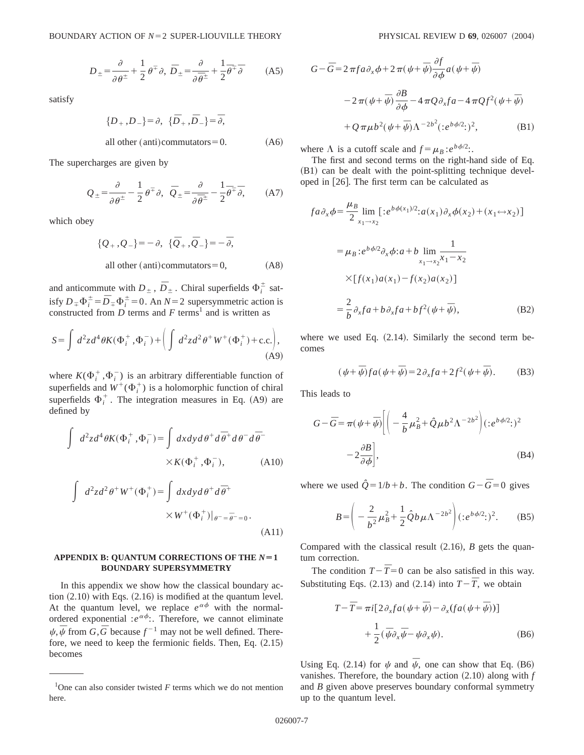$$
D_{\pm} = \frac{\partial}{\partial \theta^{\pm}} + \frac{1}{2} \theta^{\mp} \partial, \ \bar{D}_{\pm} = \frac{\partial}{\partial \bar{\theta}^{\pm}} + \frac{1}{2} \bar{\theta}^{\mp} \bar{\partial} \tag{A5}
$$

satisfy

$$
\{D_+, D_-\} = \partial, \quad \{\bar{D}_+, \bar{D}_-\} = \bar{\partial},
$$

all other  $(anti)$  commutators = 0.  $(A6)$ 

The supercharges are given by

$$
Q_{\pm} = \frac{\partial}{\partial \theta^{\pm}} - \frac{1}{2} \theta^{\mp} \partial, \quad \overline{Q}_{\pm} = \frac{\partial}{\partial \overline{\theta}^{\pm}} - \frac{1}{2} \overline{\theta}^{\mp} \overline{\partial}, \tag{A7}
$$

which obey

$$
\{Q_+, Q_-\} = -\partial, \quad \{\overline{Q}_+, \overline{Q}_-\} = -\overline{\partial},
$$
  
all other (anti)commutators = 0, (A8)

and anticommute with  $D_{\pm}$ ,  $\overline{D}_{\pm}$ . Chiral superfields  $\Phi_i^{\pm}$  satisfy  $D_{\mp} \Phi_i^{\pm} = \overline{D}_{\mp} \Phi_i^{\pm} = 0$ . An  $N=2$  supersymmetric action is constructed from *D* terms and *F* terms<sup>1</sup> and is written as

$$
S = \int d^2z d^4\theta K(\Phi_i^+, \Phi_i^-) + \left(\int d^2z d^2\theta^+ W^+(\Phi_i^+) + \text{c.c.}\right),\tag{A9}
$$

where  $K(\Phi_i^+,\Phi_i^-)$  is an arbitrary differentiable function of superfields and  $W^+(\Phi_i^+)$  is a holomorphic function of chiral superfields  $\Phi_i^+$ . The integration measures in Eq. (A9) are defined by

$$
\int d^2z d^4\theta K(\Phi_i^+, \Phi_i^-) = \int dx dy d\theta^+ d\overline{\theta}^+ d\theta^- d\overline{\theta}^-
$$
  
× $K(\Phi_i^+, \Phi_i^-)$ , (A10)

$$
\int d^2z d^2\theta^+ W^+(\Phi_i^+) = \int dx dy d\theta^+ d\overline{\theta}^+ \times W^+(\Phi_i^+)|_{\theta^- = \overline{\theta}^- = 0}.
$$
\n(A11)

### APPENDIX B: QUANTUM CORRECTIONS OF THE  $N=1$ **BOUNDARY SUPERSYMMETRY**

In this appendix we show how the classical boundary action  $(2.10)$  with Eqs.  $(2.16)$  is modified at the quantum level. At the quantum level, we replace  $e^{\alpha \phi}$  with the normalordered exponential : $e^{\alpha \phi}$ : Therefore, we cannot eliminate  $\psi$ ,  $\bar{\psi}$  from *G*,  $\bar{G}$  because  $f^{-1}$  may not be well defined. Therefore, we need to keep the fermionic fields. Then, Eq.  $(2.15)$ becomes

$$
G - \overline{G} = 2 \pi f a \partial_x \phi + 2 \pi (\psi + \overline{\psi}) \frac{\partial f}{\partial \phi} a (\psi + \overline{\psi})
$$
  

$$
- 2 \pi (\psi + \overline{\psi}) \frac{\partial B}{\partial \phi} - 4 \pi Q \partial_x f a - 4 \pi Q f^2 (\psi + \overline{\psi})
$$
  

$$
+ Q \pi \mu b^2 (\psi + \overline{\psi}) \Lambda^{-2b^2} (e^{b \phi/2})^2, \tag{B1}
$$

where  $\Lambda$  is a cutoff scale and  $f = \mu_B : e^{b \phi/2}$ .

The first and second terms on the right-hand side of Eq.  $(B1)$  can be dealt with the point-splitting technique developed in  $[26]$ . The first term can be calculated as

$$
fa\partial_x \phi = \frac{\mu_B}{2} \lim_{x_1 \to x_2} [ :e^{b\phi(x_1)/2} : a(x_1) \partial_x \phi(x_2) + (x_1 \leftrightarrow x_2) ]
$$
  

$$
= \mu_B :e^{b\phi/2} \partial_x \phi : a + b \lim_{x_1 \to x_2} \frac{1}{x_1 - x_2}
$$
  

$$
\times [f(x_1) a(x_1) - f(x_2) a(x_2)]
$$
  

$$
= \frac{2}{b} \partial_x fa + b \partial_x fa + bf^2(\psi + \overline{\psi}),
$$
 (B2)

where we used Eq.  $(2.14)$ . Similarly the second term becomes

$$
(\psi + \overline{\psi})fa(\psi + \overline{\psi}) = 2\partial_x fa + 2f^2(\psi + \overline{\psi}).
$$
 (B3)

This leads to

$$
G - \overline{G} = \pi (\psi + \overline{\psi}) \Biggl[ \Biggl( -\frac{4}{b} \mu_B^2 + \hat{Q} \mu b^2 \Lambda^{-2b^2} \Biggr) (e^{b \phi/2})^2 - 2 \frac{\partial B}{\partial \phi} \Biggr], \tag{B4}
$$

where we used  $\hat{Q} = 1/b + b$ . The condition  $G - \bar{G} = 0$  gives

$$
B = \left(-\frac{2}{b^2}\mu_B^2 + \frac{1}{2}\hat{Q}b\mu\Lambda^{-2b^2}\right)(:e^{b\phi/2}:)^2.
$$
 (B5)

Compared with the classical result  $(2.16)$ , *B* gets the quantum correction.

The condition  $T - \bar{T} = 0$  can be also satisfied in this way. Substituting Eqs.  $(2.13)$  and  $(2.14)$  into  $T-\overline{T}$ , we obtain

$$
T - \overline{T} = \pi i \left[ 2 \partial_x f a \left( \psi + \overline{\psi} \right) - \partial_x (f a \left( \psi + \overline{\psi} \right)) \right] + \frac{1}{2} (\overline{\psi} \partial_x \overline{\psi} - \psi \partial_x \psi).
$$
 (B6)

Using Eq. (2.14) for  $\psi$  and  $\bar{\psi}$ , one can show that Eq. (B6) vanishes. Therefore, the boundary action  $(2.10)$  along with  $f$ and *B* given above preserves boundary conformal symmetry up to the quantum level.

<sup>&</sup>lt;sup>1</sup>One can also consider twisted  $F$  terms which we do not mention here.